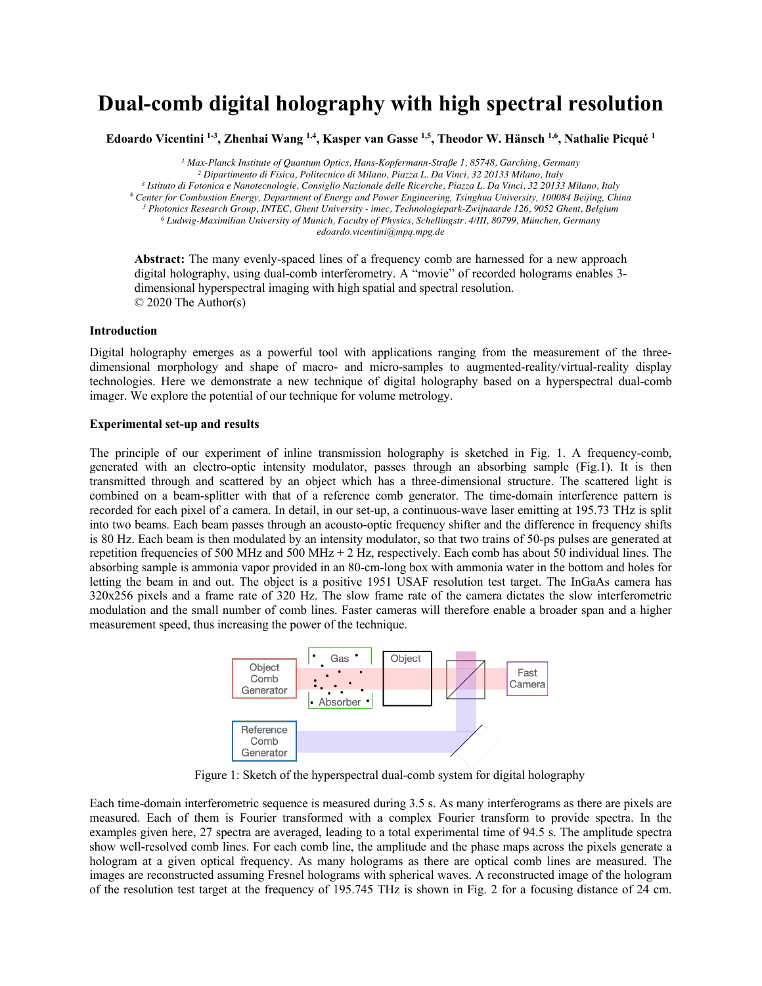## **Dual-comb digital holography with high spectral resolution**

**Edoardo Vicentini 1-3 , Zhenhai Wang 1,4, Kasper van Gasse 1,5, Theodor W. Hänsch 1,6, Nathalie Picqué <sup>1</sup>**

 *Max-Planck Institute of Quantum Optics, Hans-Kopfermann-Straße 1, 85748, Garching, Germany Dipartimento di Fisica, Politecnico di Milano, Piazza L. Da Vinci, 32 20133 Milano, Italy Istituto di Fotonica e Nanotecnologie, Consiglio Nazionale delle Ricerche, Piazza L. Da Vinci, 32 20133 Milano, Italy Center for Combustion Energy, Department of Energy and Power Engineering, Tsinghua University, 100084 Beijing, China Photonics Research Group, INTEC, Ghent University - imec, Technologiepark-Zwijnaarde 126, 9052 Ghent, Belgium Ludwig-Maximilian University of Munich, Faculty of Physics, Schellingstr. 4/III, 80799, München, Germany edoardo.vicentini@mpq.mpg.de*

**Abstract:** The many evenly-spaced lines of a frequency comb are harnessed for a new approach digital holography, using dual-comb interferometry. A "movie" of recorded holograms enables 3dimensional hyperspectral imaging with high spatial and spectral resolution. © 2020 The Author(s)

## **Introduction**

Digital holography emerges as a powerful tool with applications ranging from the measurement of the threedimensional morphology and shape of macro- and micro-samples to augmented-reality/virtual-reality display technologies. Here we demonstrate a new technique of digital holography based on a hyperspectral dual-comb imager. We explore the potential of our technique for volume metrology.

## **Experimental set-up and results**

The principle of our experiment of inline transmission holography is sketched in Fig. 1. A frequency-comb, generated with an electro-optic intensity modulator, passes through an absorbing sample (Fig.1). It is then transmitted through and scattered by an object which has a three-dimensional structure. The scattered light is combined on a beam-splitter with that of a reference comb generator. The time-domain interference pattern is recorded for each pixel of a camera. In detail, in our set-up, a continuous-wave laser emitting at 195.73 THz is split into two beams. Each beam passes through an acousto-optic frequency shifter and the difference in frequency shifts is 80 Hz. Each beam is then modulated by an intensity modulator, so that two trains of 50-ps pulses are generated at repetition frequencies of 500 MHz and 500 MHz + 2 Hz, respectively. Each comb has about 50 individual lines. The absorbing sample is ammonia vapor provided in an 80-cm-long box with ammonia water in the bottom and holes for letting the beam in and out. The object is a positive 1951 USAF resolution test target. The InGaAs camera has 320x256 pixels and a frame rate of 320 Hz. The slow frame rate of the camera dictates the slow interferometric modulation and the small number of comb lines. Faster cameras will therefore enable a broader span and a higher measurement speed, thus increasing the power of the technique.



Figure 1: Sketch of the hyperspectral dual-comb system for digital holography

Each time-domain interferometric sequence is measured during 3.5 s. As many interferograms as there are pixels are measured. Each of them is Fourier transformed with a complex Fourier transform to provide spectra. In the examples given here, 27 spectra are averaged, leading to a total experimental time of 94.5 s. The amplitude spectra show well-resolved comb lines. For each comb line, the amplitude and the phase maps across the pixels generate a hologram at a given optical frequency. As many holograms as there are optical comb lines are measured. The images are reconstructed assuming Fresnel holograms with spherical waves. A reconstructed image of the hologram of the resolution test target at the frequency of 195.745 THz is shown in Fig. 2 for a focusing distance of 24 cm.